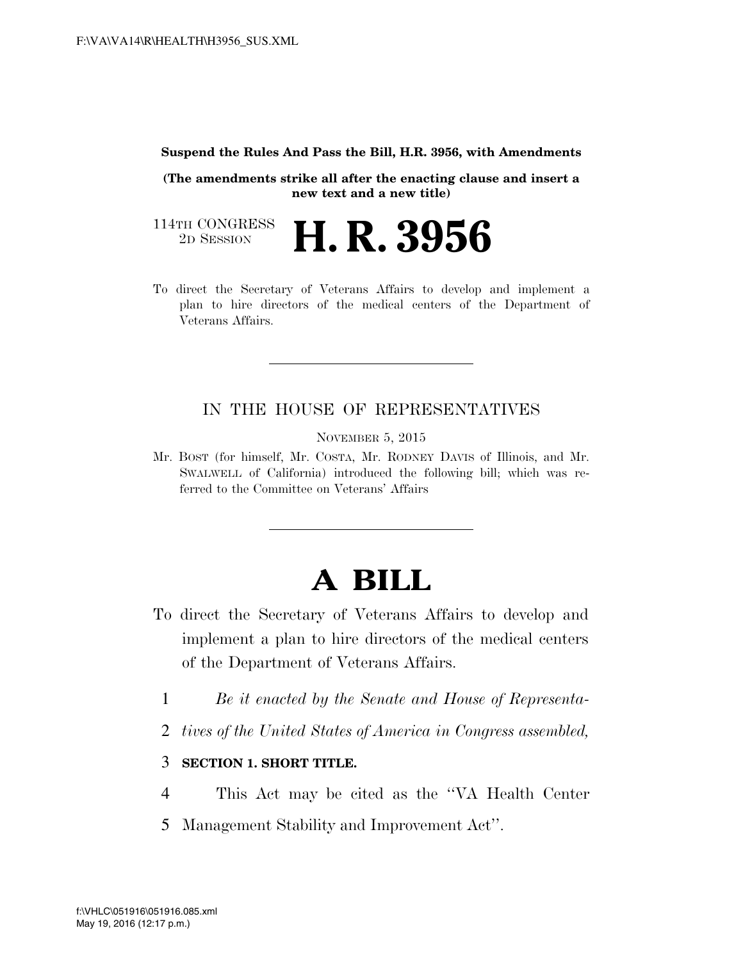#### **Suspend the Rules And Pass the Bill, H.R. 3956, with Amendments**

**(The amendments strike all after the enacting clause and insert a new text and a new title)**

114TH CONGRESS<br>2D SESSION 2D SESSION **H. R. 3956**

To direct the Secretary of Veterans Affairs to develop and implement a plan to hire directors of the medical centers of the Department of Veterans Affairs.

### IN THE HOUSE OF REPRESENTATIVES

NOVEMBER 5, 2015

Mr. BOST (for himself, Mr. COSTA, Mr. RODNEY DAVIS of Illinois, and Mr. SWALWELL of California) introduced the following bill; which was referred to the Committee on Veterans' Affairs

# **A BILL**

- To direct the Secretary of Veterans Affairs to develop and implement a plan to hire directors of the medical centers of the Department of Veterans Affairs.
	- 1 *Be it enacted by the Senate and House of Representa-*
	- 2 *tives of the United States of America in Congress assembled,*

### 3 **SECTION 1. SHORT TITLE.**

- 4 This Act may be cited as the ''VA Health Center
- 5 Management Stability and Improvement Act''.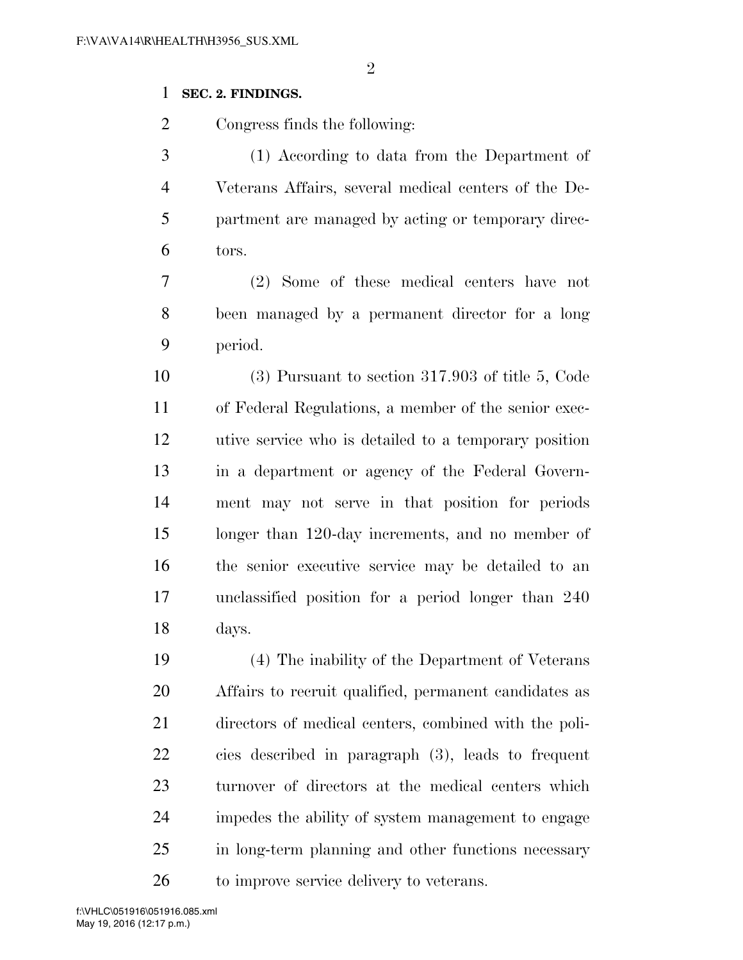### **SEC. 2. FINDINGS.**

Congress finds the following:

 (1) According to data from the Department of Veterans Affairs, several medical centers of the De- partment are managed by acting or temporary direc-tors.

 (2) Some of these medical centers have not been managed by a permanent director for a long period.

 (3) Pursuant to section 317.903 of title 5, Code of Federal Regulations, a member of the senior exec- utive service who is detailed to a temporary position in a department or agency of the Federal Govern- ment may not serve in that position for periods longer than 120-day increments, and no member of the senior executive service may be detailed to an unclassified position for a period longer than 240 days.

 (4) The inability of the Department of Veterans Affairs to recruit qualified, permanent candidates as directors of medical centers, combined with the poli- cies described in paragraph (3), leads to frequent turnover of directors at the medical centers which impedes the ability of system management to engage in long-term planning and other functions necessary 26 to improve service delivery to veterans.

May 19, 2016 (12:17 p.m.) f:\VHLC\051916\051916.085.xml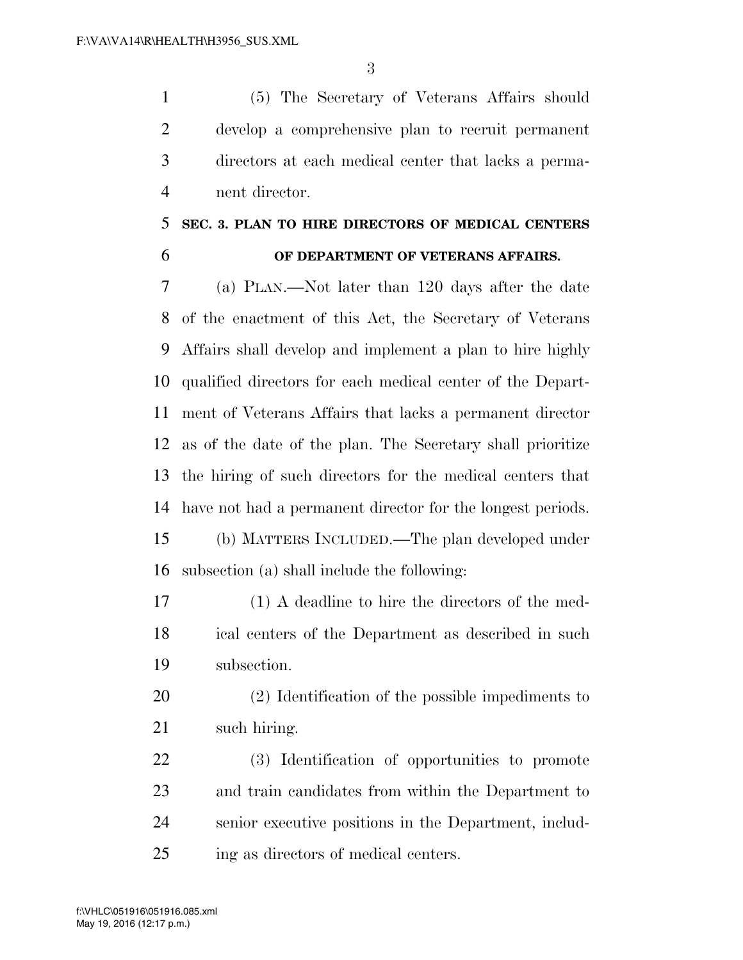(5) The Secretary of Veterans Affairs should develop a comprehensive plan to recruit permanent directors at each medical center that lacks a perma-nent director.

### **SEC. 3. PLAN TO HIRE DIRECTORS OF MEDICAL CENTERS OF DEPARTMENT OF VETERANS AFFAIRS.**

 (a) PLAN.—Not later than 120 days after the date of the enactment of this Act, the Secretary of Veterans Affairs shall develop and implement a plan to hire highly qualified directors for each medical center of the Depart- ment of Veterans Affairs that lacks a permanent director as of the date of the plan. The Secretary shall prioritize the hiring of such directors for the medical centers that have not had a permanent director for the longest periods. (b) MATTERS INCLUDED.—The plan developed under subsection (a) shall include the following:

 (1) A deadline to hire the directors of the med- ical centers of the Department as described in such subsection.

 (2) Identification of the possible impediments to such hiring.

 (3) Identification of opportunities to promote and train candidates from within the Department to senior executive positions in the Department, includ-ing as directors of medical centers.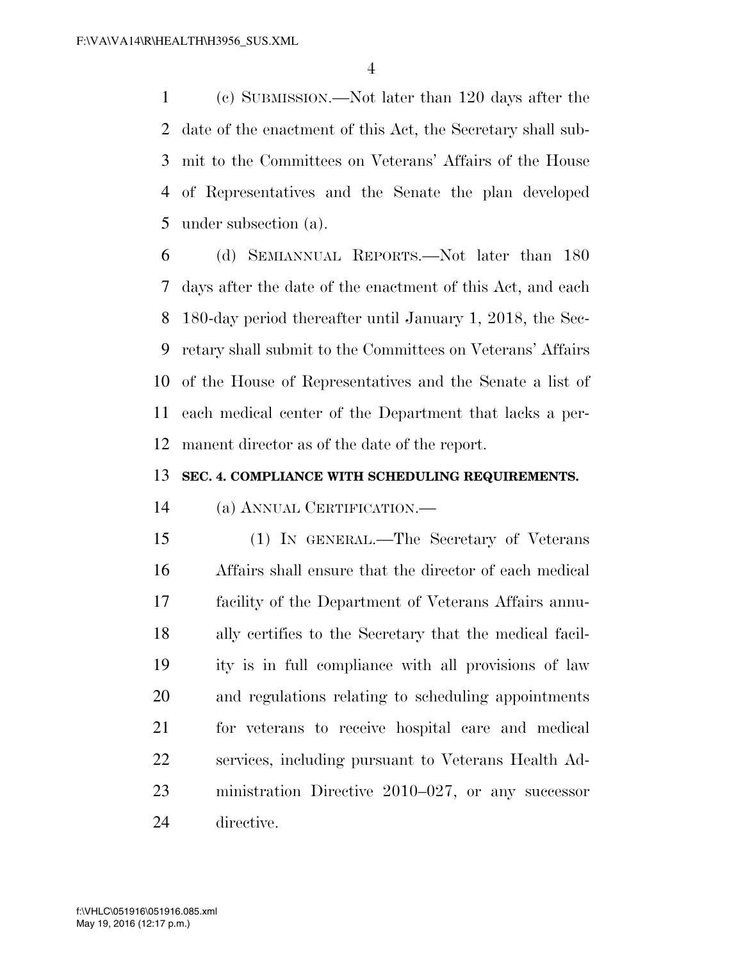(c) SUBMISSION.—Not later than 120 days after the date of the enactment of this Act, the Secretary shall sub- mit to the Committees on Veterans' Affairs of the House of Representatives and the Senate the plan developed under subsection (a).

 (d) SEMIANNUAL REPORTS.—Not later than 180 days after the date of the enactment of this Act, and each 180-day period thereafter until January 1, 2018, the Sec- retary shall submit to the Committees on Veterans' Affairs of the House of Representatives and the Senate a list of each medical center of the Department that lacks a per-manent director as of the date of the report.

#### **SEC. 4. COMPLIANCE WITH SCHEDULING REQUIREMENTS.**

(a) ANNUAL CERTIFICATION.—

 (1) IN GENERAL.—The Secretary of Veterans Affairs shall ensure that the director of each medical facility of the Department of Veterans Affairs annu- ally certifies to the Secretary that the medical facil- ity is in full compliance with all provisions of law and regulations relating to scheduling appointments for veterans to receive hospital care and medical services, including pursuant to Veterans Health Ad- ministration Directive 2010–027, or any successor directive.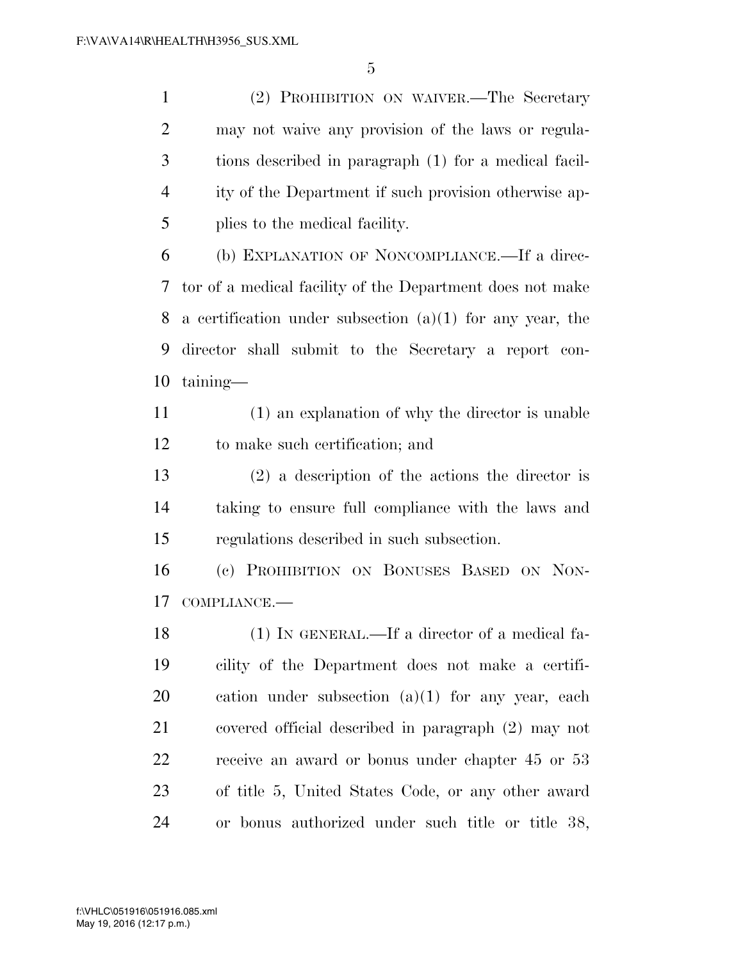(2) PROHIBITION ON WAIVER.—The Secretary may not waive any provision of the laws or regula- tions described in paragraph (1) for a medical facil- ity of the Department if such provision otherwise ap-plies to the medical facility.

 (b) EXPLANATION OF NONCOMPLIANCE.—If a direc- tor of a medical facility of the Department does not make 8 a certification under subsection  $(a)(1)$  for any year, the director shall submit to the Secretary a report con-taining—

 (1) an explanation of why the director is unable to make such certification; and

 (2) a description of the actions the director is taking to ensure full compliance with the laws and regulations described in such subsection.

 (c) PROHIBITION ON BONUSES BASED ON NON-COMPLIANCE.—

 (1) IN GENERAL.—If a director of a medical fa- cility of the Department does not make a certifi- cation under subsection (a)(1) for any year, each covered official described in paragraph (2) may not receive an award or bonus under chapter 45 or 53 of title 5, United States Code, or any other award or bonus authorized under such title or title 38,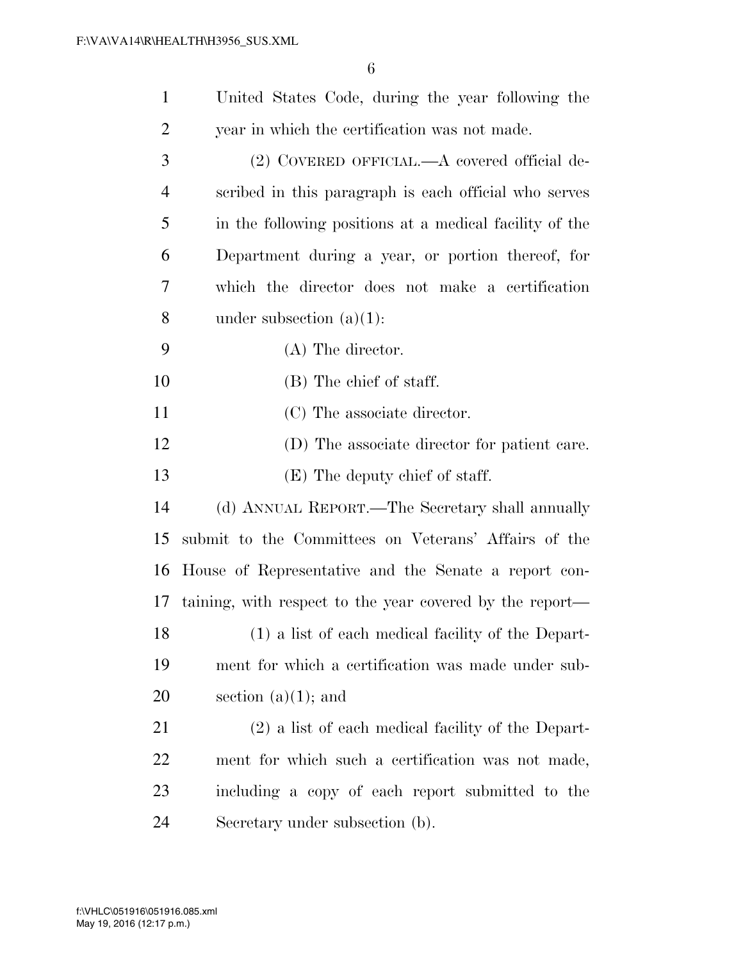| $\mathbf{1}$   | United States Code, during the year following the        |
|----------------|----------------------------------------------------------|
| $\overline{2}$ | year in which the certification was not made.            |
| 3              | (2) COVERED OFFICIAL.—A covered official de-             |
| $\overline{4}$ | scribed in this paragraph is each official who serves    |
| 5              | in the following positions at a medical facility of the  |
| 6              | Department during a year, or portion thereof, for        |
| 7              | which the director does not make a certification         |
| 8              | under subsection $(a)(1)$ :                              |
| 9              | $(A)$ The director.                                      |
| 10             | (B) The chief of staff.                                  |
| 11             | (C) The associate director.                              |
| 12             | (D) The associate director for patient care.             |
| 13             | (E) The deputy chief of staff.                           |
| 14             | (d) ANNUAL REPORT.—The Secretary shall annually          |
| 15             | submit to the Committees on Veterans' Affairs of the     |
| 16             | House of Representative and the Senate a report con-     |
| 17             | taining, with respect to the year covered by the report— |
| 18             | (1) a list of each medical facility of the Depart-       |
| 19             | ment for which a certification was made under sub-       |
| 20             | section $(a)(1)$ ; and                                   |
| 21             | (2) a list of each medical facility of the Depart-       |
| 22             | ment for which such a certification was not made,        |
| 23             | including a copy of each report submitted to the         |
| 24             | Secretary under subsection (b).                          |